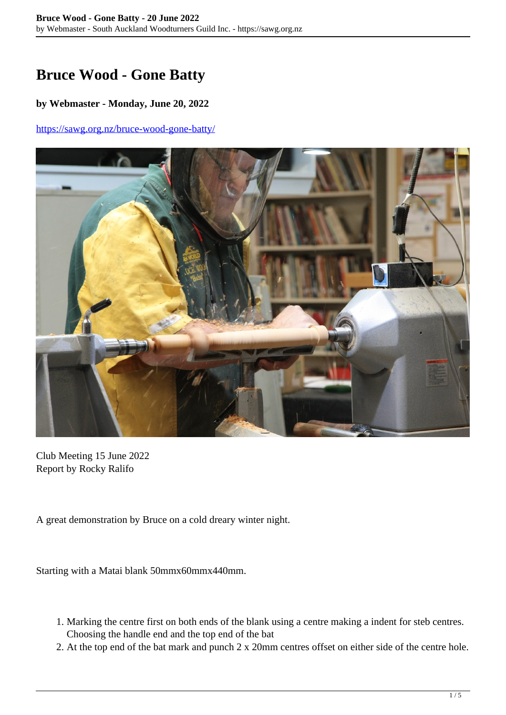## **Bruce Wood - Gone Batty**

## **by Webmaster - Monday, June 20, 2022**

## <https://sawg.org.nz/bruce-wood-gone-batty/>



Club Meeting 15 June 2022 Report by Rocky Ralifo

A great demonstration by Bruce on a cold dreary winter night.

Starting with a Matai blank 50mmx60mmx440mm.

- 1. Marking the centre first on both ends of the blank using a centre making a indent for steb centres. Choosing the handle end and the top end of the bat
- 2. At the top end of the bat mark and punch 2 x 20mm centres offset on either side of the centre hole.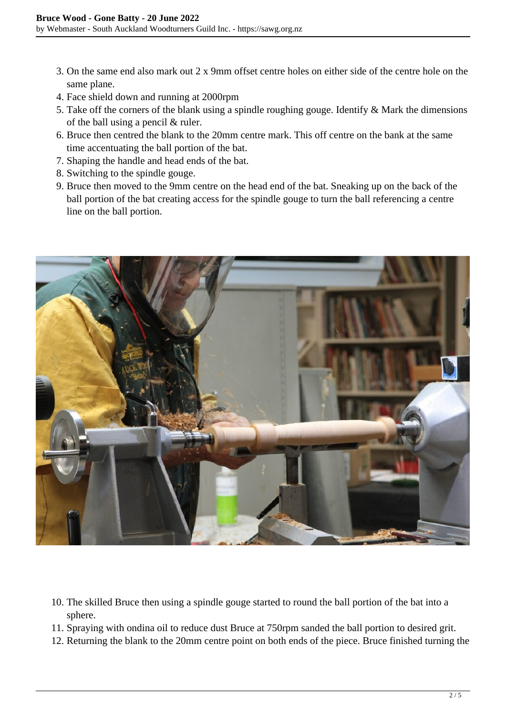- 3. On the same end also mark out 2 x 9mm offset centre holes on either side of the centre hole on the same plane.
- 4. Face shield down and running at 2000rpm
- 5. Take off the corners of the blank using a spindle roughing gouge. Identify & Mark the dimensions of the ball using a pencil & ruler.
- 6. Bruce then centred the blank to the 20mm centre mark. This off centre on the bank at the same time accentuating the ball portion of the bat.
- 7. Shaping the handle and head ends of the bat.
- 8. Switching to the spindle gouge.
- 9. Bruce then moved to the 9mm centre on the head end of the bat. Sneaking up on the back of the ball portion of the bat creating access for the spindle gouge to turn the ball referencing a centre line on the ball portion.



- 10. The skilled Bruce then using a spindle gouge started to round the ball portion of the bat into a sphere.
- 11. Spraying with ondina oil to reduce dust Bruce at 750rpm sanded the ball portion to desired grit.
- 12. Returning the blank to the 20mm centre point on both ends of the piece. Bruce finished turning the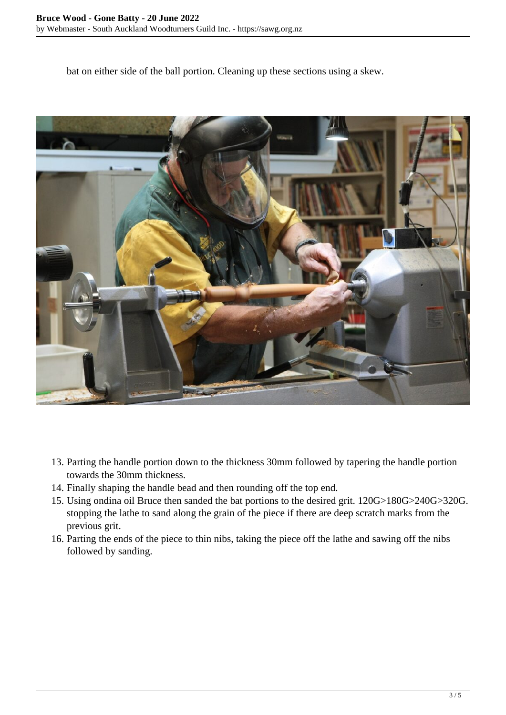bat on either side of the ball portion. Cleaning up these sections using a skew.



- 13. Parting the handle portion down to the thickness 30mm followed by tapering the handle portion towards the 30mm thickness.
- 14. Finally shaping the handle bead and then rounding off the top end.
- 15. Using ondina oil Bruce then sanded the bat portions to the desired grit. 120G>180G>240G>320G. stopping the lathe to sand along the grain of the piece if there are deep scratch marks from the previous grit.
- 16. Parting the ends of the piece to thin nibs, taking the piece off the lathe and sawing off the nibs followed by sanding.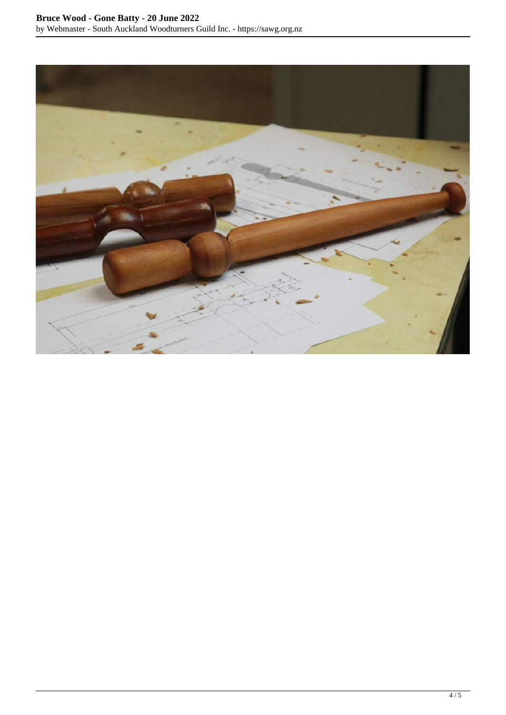